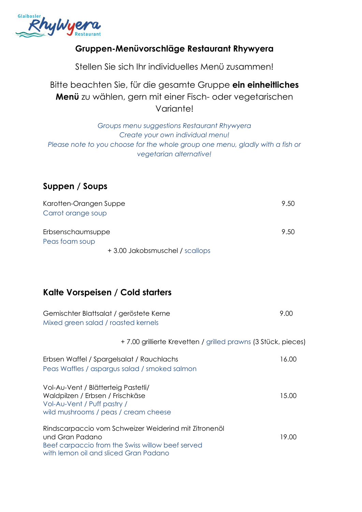

### **Gruppen-Menüvorschläge Restaurant Rhywyera**

Stellen Sie sich Ihr individuelles Menü zusammen!

Bitte beachten Sie, für die gesamte Gruppe **ein einheitliches Menü** zu wählen, gern mit einer Fisch- oder vegetarischen Variante!

*Groups menu suggestions Restaurant Rhywyera Create your own individual menu! Please note to you choose for the whole group one menu, gladly with a fish or vegetarian alternative!*

## **Suppen / Soups**

| Karotten-Orangen Suppe         | 9.50 |
|--------------------------------|------|
| Carrot orange soup             |      |
| Erbsenschaumsuppe              | 9.50 |
| Peas foam soup                 |      |
| +3.00 Jakobsmuschel / scallops |      |

# **Kalte Vorspeisen / Cold starters**

| Gemischter Blattsalat / geröstete Kerne<br>Mixed green salad / roasted kernels                                                                                        | 9.00  |
|-----------------------------------------------------------------------------------------------------------------------------------------------------------------------|-------|
| +7.00 grillierte Krevetten / grilled prawns (3 Stück, pieces)                                                                                                         |       |
| Erbsen Waffel / Spargelsalat / Rauchlachs<br>Peas Waffles / aspargus salad / smoked salmon                                                                            | 16.00 |
| Vol-Au-Vent / Blätterteig Pastetli/<br>Waldpilzen / Erbsen / Frischkäse<br>Vol-Au-Vent / Puff pastry /<br>wild mushrooms / peas / cream cheese                        | 15.00 |
| Rindscarpaccio vom Schweizer Weiderind mit Zitronenöl<br>und Gran Padano<br>Beef carpaccio from the Swiss willow beef served<br>with lemon oil and sliced Gran Padano | 19.00 |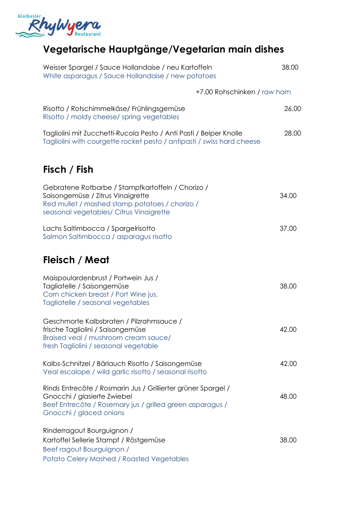

# **Vegetarische Hauptgänge/Vegetarian main dishes**

| Weisser Spargel / Sauce Hollandaise / neu Kartoffeln<br>White asparagus / Sauce Hollandaise / new potatoes                                                                           | 38.00 |
|--------------------------------------------------------------------------------------------------------------------------------------------------------------------------------------|-------|
| +7.00 Rohschinken / raw ham                                                                                                                                                          |       |
| Risotto / Rotschimmelkäse/ Frühlingsgemüse<br>Risotto / moldy cheese/ spring vegetables                                                                                              | 26.00 |
| Tagliolini mit Zucchetti-Rucola Pesto / Anti Pasti / Belper Knolle<br>Tagliolini with courgette rocket pesto / antipasti / swiss hard cheese                                         | 28.00 |
| Fisch / Fish                                                                                                                                                                         |       |
| Gebratene Rotbarbe / Stampfkartoffeln / Chorizo /<br>Saisongemüse / Zitrus Vinaigrette<br>Red mullet / mashed stamp potatoes / chorizo /<br>seasonal vegetables/ Citrus Vinaigrette  | 34.00 |
| Lachs Saltimbocca / Spargelrisotto<br>Salmon Saltimbocca / asparagus risotto                                                                                                         | 37.00 |
| Fleisch / Meat                                                                                                                                                                       |       |
| Maispoulardenbrust / Portwein Jus /<br>Tagliatelle / Saisongemüse<br>Corn chicken breast / Port Wine jus,<br>Tagliatelle / seasonal vegetables                                       | 38.00 |
| Geschmorte Kalbsbraten / Pilzrahmsauce /<br>frische Tagliolini / Saisongemüse<br>Braised veal / mushroom cream sauce/<br>fresh Tagliolini / seasonal vegetable                       | 42.00 |
| Kalbs-Schnitzel / Bärlauch Risotto / Saisongemüse<br>Veal escalope / wild garlic risotto / seasonal risotto                                                                          | 42.00 |
| Rinds Entrecôte / Rosmarin Jus / Grillierter grüner Spargel /<br>Gnocchi / glasierte Zwiebel<br>Beef Entrecôte / Rosemary jus / grilled green asparagus /<br>Gnocchi / glaced onions | 48.00 |
| Rinderragout Bourguignon /<br>Kartoffel Sellerie Stampf / Röstgemüse<br>Beef ragout Bourguignon /<br><b>Potato Celery Mashed / Roasted Vegetables</b>                                | 38.00 |